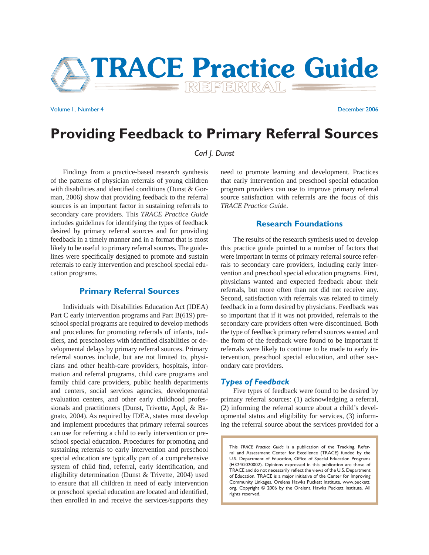

Volume 1, Number 4 December 2006

# **Providing Feedback to Primary Referral Sources**

## *Carl J. Dunst*

 Findings from a practice-based research synthesis of the patterns of physician referrals of young children with disabilities and identified conditions (Dunst  $&$  Gorman, 2006) show that providing feedback to the referral sources is an important factor in sustaining referrals to secondary care providers. This *TRACE Practice Guide*  includes guidelines for identifying the types of feedback desired by primary referral sources and for providing feedback in a timely manner and in a format that is most likely to be useful to primary referral sources. The guidelines were specifically designed to promote and sustain referrals to early intervention and preschool special education programs.

#### **Primary Referral Sources**

 Individuals with Disabilities Education Act (IDEA) Part C early intervention programs and Part B(619) preschool special programs are required to develop methods and procedures for promoting referrals of infants, toddlers, and preschoolers with identified disabilities or developmental delays by primary referral sources. Primary referral sources include, but are not limited to, physicians and other health-care providers, hospitals, information and referral programs, child care programs and family child care providers, public health departments and centers, social services agencies, developmental evaluation centers, and other early childhood professionals and practitioners (Dunst, Trivette, Appl, & Bagnato, 2004). As required by IDEA, states must develop and implement procedures that primary referral sources can use for referring a child to early intervention or preschool special education. Procedures for promoting and sustaining referrals to early intervention and preschool special education are typically part of a comprehensive system of child find, referral, early identification, and eligibility determination (Dunst & Trivette, 2004) used to ensure that all children in need of early intervention or preschool special education are located and identified, then enrolled in and receive the services/supports they

need to promote learning and development. Practices that early intervention and preschool special education program providers can use to improve primary referral source satisfaction with referrals are the focus of this *TRACE Practice Guide*.

## **Research Foundations**

 The results of the research synthesis used to develop this practice guide pointed to a number of factors that were important in terms of primary referral source referrals to secondary care providers, including early intervention and preschool special education programs. First, physicians wanted and expected feedback about their referrals, but more often than not did not receive any. Second, satisfaction with referrals was related to timely feedback in a form desired by physicians. Feedback was so important that if it was not provided, referrals to the secondary care providers often were discontinued. Both the type of feedback primary referral sources wanted and the form of the feedback were found to be important if referrals were likely to continue to be made to early intervention, preschool special education, and other secondary care providers.

#### *Types of Feedback*

 Five types of feedback were found to be desired by primary referral sources: (1) acknowledging a referral, (2) informing the referral source about a child's developmental status and eligibility for services, (3) informing the referral source about the services provided for a

This *TRACE Practice Guide* is a publication of the Tracking, Referral and Assessment Center for Excellence (TRACE) funded by the U.S. Department of Education, Office of Special Education Programs (H324G020002). Opinions expressed in this publication are those of TRACE and do not necessarily reflect the views of the U.S. Department of Education. TRACE is a major initiative of the Center for Improving Community Linkages, Orelena Hawks Puckett Institute, www.puckett. org. Copyright © 2006 by the Orelena Hawks Puckett Institute. All rights reserved.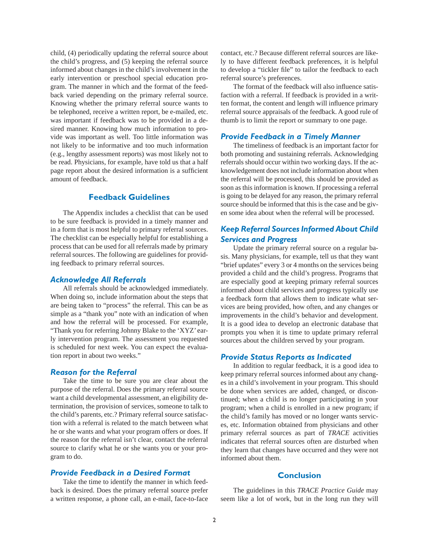child, (4) periodically updating the referral source about the child's progress, and (5) keeping the referral source informed about changes in the child's involvement in the early intervention or preschool special education program. The manner in which and the format of the feedback varied depending on the primary referral source. Knowing whether the primary referral source wants to be telephoned, receive a written report, be e-mailed, etc. was important if feedback was to be provided in a desired manner. Knowing how much information to provide was important as well. Too little information was not likely to be informative and too much information (e.g., lengthy assessment reports) was most likely not to be read. Physicians, for example, have told us that a half page report about the desired information is a sufficient amount of feedback.

# **Feedback Guidelines**

 The Appendix includes a checklist that can be used to be sure feedback is provided in a timely manner and in a form that is most helpful to primary referral sources. The checklist can be especially helpful for establishing a process that can be used for all referrals made by primary referral sources. The following are guidelines for providing feedback to primary referral sources.

#### *Acknowledge All Referrals*

 All referrals should be acknowledged immediately. When doing so, include information about the steps that are being taken to "process" the referral. This can be as simple as a "thank you" note with an indication of when and how the referral will be processed. For example, "Thank you for referring Johnny Blake to the 'XYZ' early intervention program. The assessment you requested is scheduled for next week. You can expect the evaluation report in about two weeks."

#### *Reason for the Referral*

 Take the time to be sure you are clear about the purpose of the referral. Does the primary referral source want a child developmental assessment, an eligibility determination, the provision of services, someone to talk to the child's parents, etc.? Primary referral source satisfaction with a referral is related to the match between what he or she wants and what your program offers or does. If the reason for the referral isn't clear, contact the referral source to clarify what he or she wants you or your program to do.

#### *Provide Feedback in a Desired Format*

 Take the time to identify the manner in which feedback is desired. Does the primary referral source prefer a written response, a phone call, an e-mail, face-to-face contact, etc.? Because different referral sources are likely to have different feedback preferences, it is helpful to develop a "tickler file" to tailor the feedback to each referral source's preferences.

The format of the feedback will also influence satisfaction with a referral. If feedback is provided in a written format, the content and length will influence primary referral source appraisals of the feedback. A good rule of thumb is to limit the report or summary to one page.

#### *Provide Feedback in a Timely Manner*

 The timeliness of feedback is an important factor for both promoting and sustaining referrals. Acknowledging referrals should occur within two working days. If the acknowledgement does not include information about when the referral will be processed, this should be provided as soon as this information is known. If processing a referral is going to be delayed for any reason, the primary referral source should be informed that this is the case and be given some idea about when the referral will be processed.

# *Keep Referral Sources Informed About Child Services and Progress*

 Update the primary referral source on a regular basis. Many physicians, for example, tell us that they want "brief updates" every 3 or 4 months on the services being provided a child and the child's progress. Programs that are especially good at keeping primary referral sources informed about child services and progress typically use a feedback form that allows them to indicate what services are being provided, how often, and any changes or improvements in the child's behavior and development. It is a good idea to develop an electronic database that prompts you when it is time to update primary referral sources about the children served by your program.

#### *Provide Status Reports as Indicated*

 In addition to regular feedback, it is a good idea to keep primary referral sources informed about any changes in a child's involvement in your program. This should be done when services are added, changed, or discontinued; when a child is no longer participating in your program; when a child is enrolled in a new program; if the child's family has moved or no longer wants services, etc. Information obtained from physicians and other primary referral sources as part of *TRACE* activities indicates that referral sources often are disturbed when they learn that changes have occurred and they were not informed about them.

## **Conclusion**

 The guidelines in this *TRACE Practice Guide* may seem like a lot of work, but in the long run they will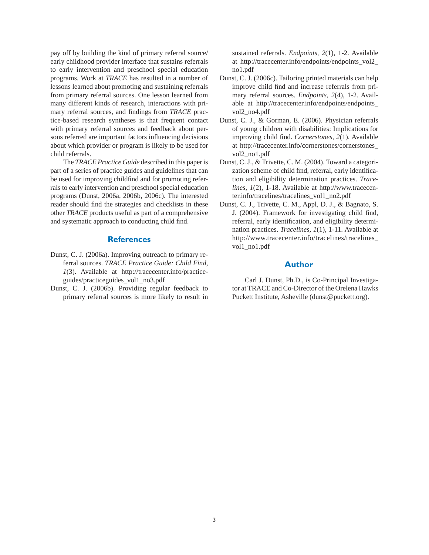pay off by building the kind of primary referral source/ early childhood provider interface that sustains referrals to early intervention and preschool special education programs. Work at *TRACE* has resulted in a number of lessons learned about promoting and sustaining referrals from primary referral sources. One lesson learned from many different kinds of research, interactions with primary referral sources, and findings from *TRACE* practice-based research syntheses is that frequent contact with primary referral sources and feedback about persons referred are important factors influencing decisions about which provider or program is likely to be used for child referrals.

 The *TRACE Practice Guide* described in this paper is part of a series of practice guides and guidelines that can be used for improving childfind and for promoting referrals to early intervention and preschool special education programs (Dunst, 2006a, 2006b, 2006c). The interested reader should find the strategies and checklists in these other *TRACE* products useful as part of a comprehensive and systematic approach to conducting child find.

#### **References**

- Dunst, C. J. (2006a). Improving outreach to primary referral sources. *TRACE Practice Guide: Child Find, 1*(3). Available at http://tracecenter.info/practiceguides/practiceguides\_vol1\_no3.pdf
- Dunst, C. J. (2006b). Providing regular feedback to primary referral sources is more likely to result in

sustained referrals. *Endpoints, 2*(1), 1-2. Available at http://tracecenter.info/endpoints/endpoints\_vol2\_ no1.pdf

- Dunst, C. J. (2006c). Tailoring printed materials can help improve child find and increase referrals from primary referral sources. *Endpoints, 2*(4), 1-2. Available at http://tracecenter.info/endpoints/endpoints\_ vol2\_no4.pdf
- Dunst, C. J., & Gorman, E. (2006). Physician referrals of young children with disabilities: Implications for improving child find. *Cornerstones*, 2(1). Available at http://tracecenter.info/cornerstones/cornerstones\_ vol2\_no1.pdf
- Dunst, C. J., & Trivette, C. M. (2004). Toward a categorization scheme of child find, referral, early identification and eligibility determination practices. *Tracelines, 1*(2), 1-18. Available at http://www.tracecenter.info/tracelines/tracelines\_vol1\_no2.pdf
- Dunst, C. J., Trivette, C. M., Appl, D. J., & Bagnato, S. J. (2004). Framework for investigating child find, referral, early identification, and eligibility determination practices. *Tracelines, 1*(1), 1-11. Available at http://www.tracecenter.info/tracelines/tracelines\_ vol1\_no1.pdf

#### **Author**

 Carl J. Dunst, Ph.D., is Co-Principal Investigator at TRACE and Co-Director of the Orelena Hawks Puckett Institute, Asheville (dunst@puckett.org).